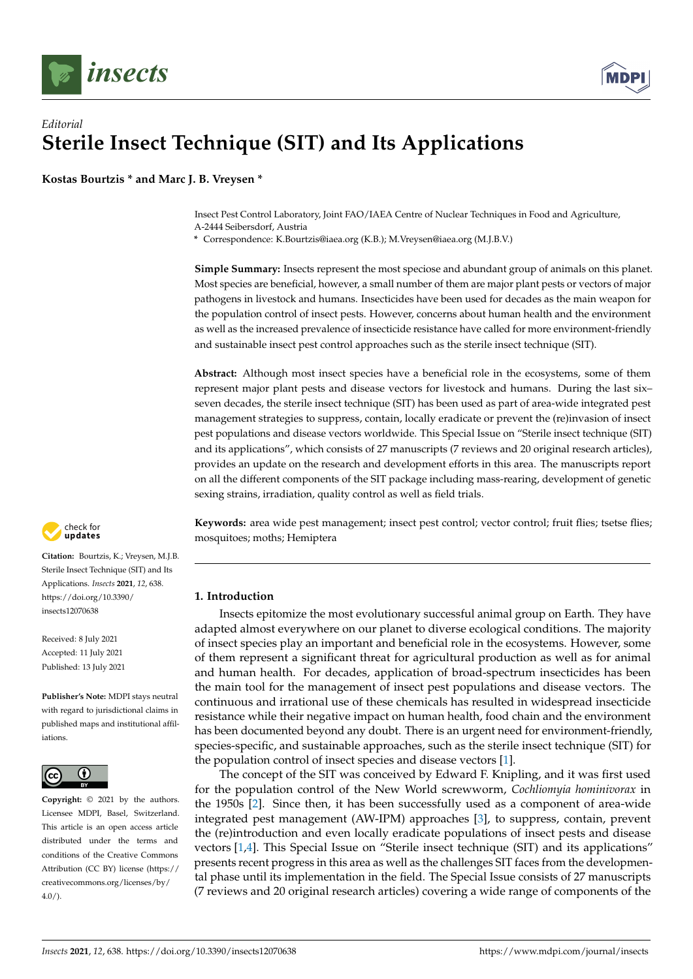



# *Editorial* **Sterile Insect Technique (SIT) and Its Applications**

**Kostas Bourtzis \* and Marc J. B. Vreysen \***

Insect Pest Control Laboratory, Joint FAO/IAEA Centre of Nuclear Techniques in Food and Agriculture, A-2444 Seibersdorf, Austria

**\*** Correspondence: K.Bourtzis@iaea.org (K.B.); M.Vreysen@iaea.org (M.J.B.V.)

**Simple Summary:** Insects represent the most speciose and abundant group of animals on this planet. Most species are beneficial, however, a small number of them are major plant pests or vectors of major pathogens in livestock and humans. Insecticides have been used for decades as the main weapon for the population control of insect pests. However, concerns about human health and the environment as well as the increased prevalence of insecticide resistance have called for more environment-friendly and sustainable insect pest control approaches such as the sterile insect technique (SIT).

**Abstract:** Although most insect species have a beneficial role in the ecosystems, some of them represent major plant pests and disease vectors for livestock and humans. During the last six– seven decades, the sterile insect technique (SIT) has been used as part of area-wide integrated pest management strategies to suppress, contain, locally eradicate or prevent the (re)invasion of insect pest populations and disease vectors worldwide. This Special Issue on "Sterile insect technique (SIT) and its applications", which consists of 27 manuscripts (7 reviews and 20 original research articles), provides an update on the research and development efforts in this area. The manuscripts report on all the different components of the SIT package including mass-rearing, development of genetic sexing strains, irradiation, quality control as well as field trials.

check for updates

**Citation:** Bourtzis, K.; Vreysen, M.J.B. Sterile Insect Technique (SIT) and Its Applications. *Insects* **2021**, *12*, 638. [https://doi.org/10.3390/](https://doi.org/10.3390/insects12070638) [insects12070638](https://doi.org/10.3390/insects12070638)

Received: 8 July 2021 Accepted: 11 July 2021 Published: 13 July 2021

**Publisher's Note:** MDPI stays neutral with regard to jurisdictional claims in published maps and institutional affiliations.



**Copyright:** © 2021 by the authors. Licensee MDPI, Basel, Switzerland. This article is an open access article distributed under the terms and conditions of the Creative Commons Attribution (CC BY) license (https:/[/](https://creativecommons.org/licenses/by/4.0/) [creativecommons.org/licenses/by/](https://creativecommons.org/licenses/by/4.0/)  $4.0/$ ).

**Keywords:** area wide pest management; insect pest control; vector control; fruit flies; tsetse flies; mosquitoes; moths; Hemiptera

# **1. Introduction**

Insects epitomize the most evolutionary successful animal group on Earth. They have adapted almost everywhere on our planet to diverse ecological conditions. The majority of insect species play an important and beneficial role in the ecosystems. However, some of them represent a significant threat for agricultural production as well as for animal and human health. For decades, application of broad-spectrum insecticides has been the main tool for the management of insect pest populations and disease vectors. The continuous and irrational use of these chemicals has resulted in widespread insecticide resistance while their negative impact on human health, food chain and the environment has been documented beyond any doubt. There is an urgent need for environment-friendly, species-specific, and sustainable approaches, such as the sterile insect technique (SIT) for the population control of insect species and disease vectors [\[1\]](#page-5-0).

The concept of the SIT was conceived by Edward F. Knipling, and it was first used for the population control of the New World screwworm, *Cochliomyia hominivorax* in the 1950s [\[2\]](#page-5-1). Since then, it has been successfully used as a component of area-wide integrated pest management (AW-IPM) approaches [\[3\]](#page-5-2), to suppress, contain, prevent the (re)introduction and even locally eradicate populations of insect pests and disease vectors [\[1](#page-5-0)[,4\]](#page-5-3). This Special Issue on "Sterile insect technique (SIT) and its applications" presents recent progress in this area as well as the challenges SIT faces from the developmental phase until its implementation in the field. The Special Issue consists of 27 manuscripts (7 reviews and 20 original research articles) covering a wide range of components of the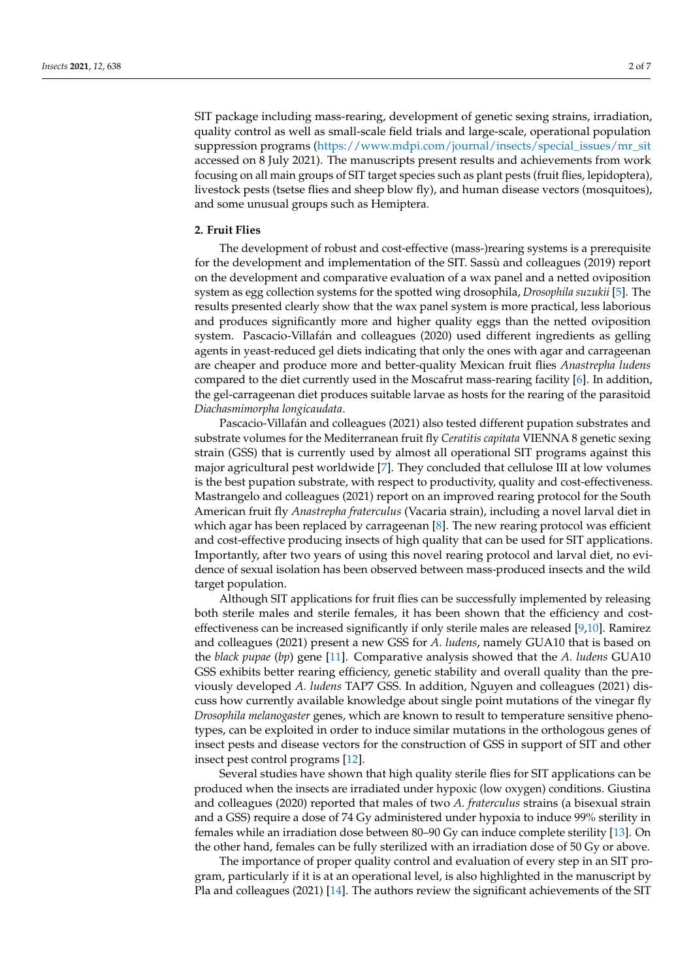SIT package including mass-rearing, development of genetic sexing strains, irradiation, quality control as well as small-scale field trials and large-scale, operational population suppression programs [\(https://www.mdpi.com/journal/insects/special\\_issues/mr\\_sit](https://www.mdpi.com/journal/insects/special_issues/mr_sit) accessed on 8 July 2021). The manuscripts present results and achievements from work focusing on all main groups of SIT target species such as plant pests (fruit flies, lepidoptera), livestock pests (tsetse flies and sheep blow fly), and human disease vectors (mosquitoes), and some unusual groups such as Hemiptera.

#### **2. Fruit Flies**

The development of robust and cost-effective (mass-)rearing systems is a prerequisite for the development and implementation of the SIT. Sassù and colleagues (2019) report on the development and comparative evaluation of a wax panel and a netted oviposition system as egg collection systems for the spotted wing drosophila, *Drosophila suzukii* [\[5\]](#page-5-4). The results presented clearly show that the wax panel system is more practical, less laborious and produces significantly more and higher quality eggs than the netted oviposition system. Pascacio-Villafán and colleagues (2020) used different ingredients as gelling agents in yeast-reduced gel diets indicating that only the ones with agar and carrageenan are cheaper and produce more and better-quality Mexican fruit flies *Anastrepha ludens* compared to the diet currently used in the Moscafrut mass-rearing facility [\[6\]](#page-5-5). In addition, the gel-carrageenan diet produces suitable larvae as hosts for the rearing of the parasitoid *Diachasmimorpha longicaudata*.

Pascacio-Villafán and colleagues (2021) also tested different pupation substrates and substrate volumes for the Mediterranean fruit fly *Ceratitis capitata* VIENNA 8 genetic sexing strain (GSS) that is currently used by almost all operational SIT programs against this major agricultural pest worldwide [\[7\]](#page-5-6). They concluded that cellulose III at low volumes is the best pupation substrate, with respect to productivity, quality and cost-effectiveness. Mastrangelo and colleagues (2021) report on an improved rearing protocol for the South American fruit fly *Anastrepha fraterculus* (Vacaria strain), including a novel larval diet in which agar has been replaced by carrageenan [\[8\]](#page-5-7). The new rearing protocol was efficient and cost-effective producing insects of high quality that can be used for SIT applications. Importantly, after two years of using this novel rearing protocol and larval diet, no evidence of sexual isolation has been observed between mass-produced insects and the wild target population.

Although SIT applications for fruit flies can be successfully implemented by releasing both sterile males and sterile females, it has been shown that the efficiency and costeffectiveness can be increased significantly if only sterile males are released [\[9](#page-5-8)[,10\]](#page-5-9). Ramirez and colleagues (2021) present a new GSS for *A. ludens*, namely GUA10 that is based on the *black pupae* (*bp*) gene [\[11\]](#page-5-10). Comparative analysis showed that the *A. ludens* GUA10 GSS exhibits better rearing efficiency, genetic stability and overall quality than the previously developed *A. ludens* TAP7 GSS. In addition, Nguyen and colleagues (2021) discuss how currently available knowledge about single point mutations of the vinegar fly *Drosophila melanogaster* genes, which are known to result to temperature sensitive phenotypes, can be exploited in order to induce similar mutations in the orthologous genes of insect pests and disease vectors for the construction of GSS in support of SIT and other insect pest control programs [\[12\]](#page-5-11).

Several studies have shown that high quality sterile flies for SIT applications can be produced when the insects are irradiated under hypoxic (low oxygen) conditions. Giustina and colleagues (2020) reported that males of two *A. fraterculus* strains (a bisexual strain and a GSS) require a dose of 74 Gy administered under hypoxia to induce 99% sterility in females while an irradiation dose between 80–90 Gy can induce complete sterility [\[13\]](#page-5-12). On the other hand, females can be fully sterilized with an irradiation dose of 50 Gy or above.

The importance of proper quality control and evaluation of every step in an SIT program, particularly if it is at an operational level, is also highlighted in the manuscript by Pla and colleagues (2021) [\[14\]](#page-5-13). The authors review the significant achievements of the SIT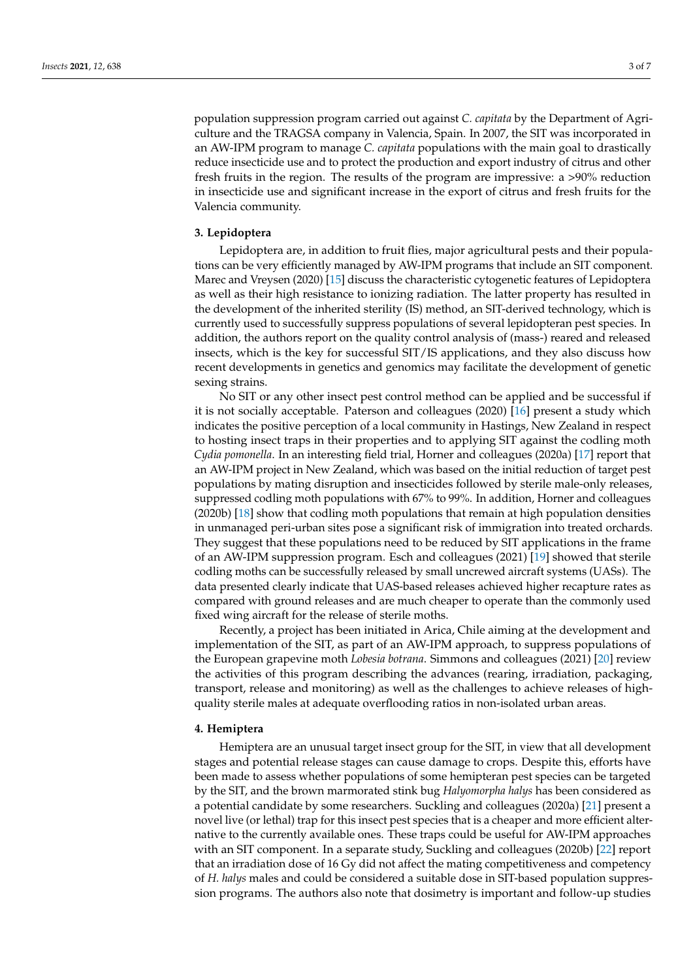population suppression program carried out against *C. capitata* by the Department of Agriculture and the TRAGSA company in Valencia, Spain. In 2007, the SIT was incorporated in an AW-IPM program to manage *C. capitata* populations with the main goal to drastically reduce insecticide use and to protect the production and export industry of citrus and other fresh fruits in the region. The results of the program are impressive: a >90% reduction in insecticide use and significant increase in the export of citrus and fresh fruits for the Valencia community.

### **3. Lepidoptera**

Lepidoptera are, in addition to fruit flies, major agricultural pests and their populations can be very efficiently managed by AW-IPM programs that include an SIT component. Marec and Vreysen (2020) [\[15\]](#page-5-14) discuss the characteristic cytogenetic features of Lepidoptera as well as their high resistance to ionizing radiation. The latter property has resulted in the development of the inherited sterility (IS) method, an SIT-derived technology, which is currently used to successfully suppress populations of several lepidopteran pest species. In addition, the authors report on the quality control analysis of (mass-) reared and released insects, which is the key for successful SIT/IS applications, and they also discuss how recent developments in genetics and genomics may facilitate the development of genetic sexing strains.

No SIT or any other insect pest control method can be applied and be successful if it is not socially acceptable. Paterson and colleagues (2020) [\[16\]](#page-5-15) present a study which indicates the positive perception of a local community in Hastings, New Zealand in respect to hosting insect traps in their properties and to applying SIT against the codling moth *Cydia pomonella*. In an interesting field trial, Horner and colleagues (2020a) [\[17\]](#page-6-0) report that an AW-IPM project in New Zealand, which was based on the initial reduction of target pest populations by mating disruption and insecticides followed by sterile male-only releases, suppressed codling moth populations with 67% to 99%. In addition, Horner and colleagues (2020b) [\[18\]](#page-6-1) show that codling moth populations that remain at high population densities in unmanaged peri-urban sites pose a significant risk of immigration into treated orchards. They suggest that these populations need to be reduced by SIT applications in the frame of an AW-IPM suppression program. Esch and colleagues (2021) [\[19\]](#page-6-2) showed that sterile codling moths can be successfully released by small uncrewed aircraft systems (UASs). The data presented clearly indicate that UAS-based releases achieved higher recapture rates as compared with ground releases and are much cheaper to operate than the commonly used fixed wing aircraft for the release of sterile moths.

Recently, a project has been initiated in Arica, Chile aiming at the development and implementation of the SIT, as part of an AW-IPM approach, to suppress populations of the European grapevine moth *Lobesia botrana*. Simmons and colleagues (2021) [\[20\]](#page-6-3) review the activities of this program describing the advances (rearing, irradiation, packaging, transport, release and monitoring) as well as the challenges to achieve releases of highquality sterile males at adequate overflooding ratios in non-isolated urban areas.

#### **4. Hemiptera**

Hemiptera are an unusual target insect group for the SIT, in view that all development stages and potential release stages can cause damage to crops. Despite this, efforts have been made to assess whether populations of some hemipteran pest species can be targeted by the SIT, and the brown marmorated stink bug *Halyomorpha halys* has been considered as a potential candidate by some researchers. Suckling and colleagues (2020a) [\[21\]](#page-6-4) present a novel live (or lethal) trap for this insect pest species that is a cheaper and more efficient alternative to the currently available ones. These traps could be useful for AW-IPM approaches with an SIT component. In a separate study, Suckling and colleagues (2020b) [\[22\]](#page-6-5) report that an irradiation dose of 16 Gy did not affect the mating competitiveness and competency of *H. halys* males and could be considered a suitable dose in SIT-based population suppression programs. The authors also note that dosimetry is important and follow-up studies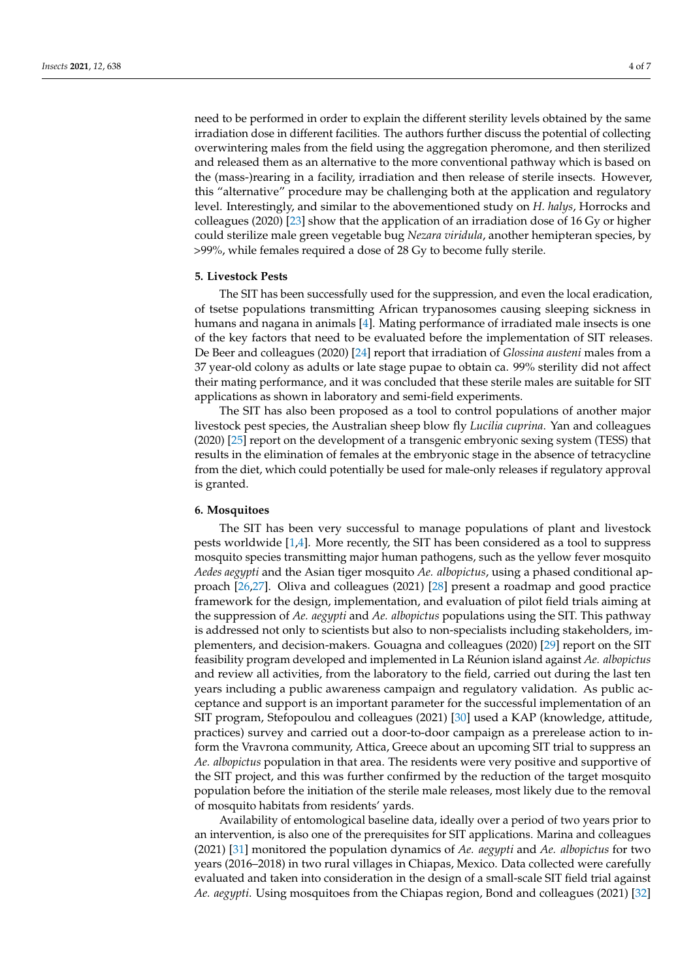need to be performed in order to explain the different sterility levels obtained by the same irradiation dose in different facilities. The authors further discuss the potential of collecting overwintering males from the field using the aggregation pheromone, and then sterilized and released them as an alternative to the more conventional pathway which is based on the (mass-)rearing in a facility, irradiation and then release of sterile insects. However, this "alternative" procedure may be challenging both at the application and regulatory level. Interestingly, and similar to the abovementioned study on *H. halys*, Horrocks and colleagues (2020) [\[23\]](#page-6-6) show that the application of an irradiation dose of 16 Gy or higher could sterilize male green vegetable bug *Nezara viridula*, another hemipteran species, by >99%, while females required a dose of 28 Gy to become fully sterile.

#### **5. Livestock Pests**

The SIT has been successfully used for the suppression, and even the local eradication, of tsetse populations transmitting African trypanosomes causing sleeping sickness in humans and nagana in animals [\[4\]](#page-5-3). Mating performance of irradiated male insects is one of the key factors that need to be evaluated before the implementation of SIT releases. De Beer and colleagues (2020) [\[24\]](#page-6-7) report that irradiation of *Glossina austeni* males from a 37 year-old colony as adults or late stage pupae to obtain ca. 99% sterility did not affect their mating performance, and it was concluded that these sterile males are suitable for SIT applications as shown in laboratory and semi-field experiments.

The SIT has also been proposed as a tool to control populations of another major livestock pest species, the Australian sheep blow fly *Lucilia cuprina*. Yan and colleagues (2020) [\[25\]](#page-6-8) report on the development of a transgenic embryonic sexing system (TESS) that results in the elimination of females at the embryonic stage in the absence of tetracycline from the diet, which could potentially be used for male-only releases if regulatory approval is granted.

#### **6. Mosquitoes**

The SIT has been very successful to manage populations of plant and livestock pests worldwide [\[1,](#page-5-0)[4\]](#page-5-3). More recently, the SIT has been considered as a tool to suppress mosquito species transmitting major human pathogens, such as the yellow fever mosquito *Aedes aegypti* and the Asian tiger mosquito *Ae. albopictus*, using a phased conditional approach [\[26,](#page-6-9)[27\]](#page-6-10). Oliva and colleagues (2021) [\[28\]](#page-6-11) present a roadmap and good practice framework for the design, implementation, and evaluation of pilot field trials aiming at the suppression of *Ae. aegypti* and *Ae. albopictus* populations using the SIT. This pathway is addressed not only to scientists but also to non-specialists including stakeholders, implementers, and decision-makers. Gouagna and colleagues (2020) [\[29\]](#page-6-12) report on the SIT feasibility program developed and implemented in La Réunion island against *Ae. albopictus* and review all activities, from the laboratory to the field, carried out during the last ten years including a public awareness campaign and regulatory validation. As public acceptance and support is an important parameter for the successful implementation of an SIT program, Stefopoulou and colleagues (2021) [\[30\]](#page-6-13) used a KAP (knowledge, attitude, practices) survey and carried out a door-to-door campaign as a prerelease action to inform the Vravrona community, Attica, Greece about an upcoming SIT trial to suppress an *Ae. albopictus* population in that area. The residents were very positive and supportive of the SIT project, and this was further confirmed by the reduction of the target mosquito population before the initiation of the sterile male releases, most likely due to the removal of mosquito habitats from residents' yards.

Availability of entomological baseline data, ideally over a period of two years prior to an intervention, is also one of the prerequisites for SIT applications. Marina and colleagues (2021) [\[31\]](#page-6-14) monitored the population dynamics of *Ae. aegypti* and *Ae. albopictus* for two years (2016–2018) in two rural villages in Chiapas, Mexico. Data collected were carefully evaluated and taken into consideration in the design of a small-scale SIT field trial against *Ae. aegypti*. Using mosquitoes from the Chiapas region, Bond and colleagues (2021) [\[32\]](#page-6-15)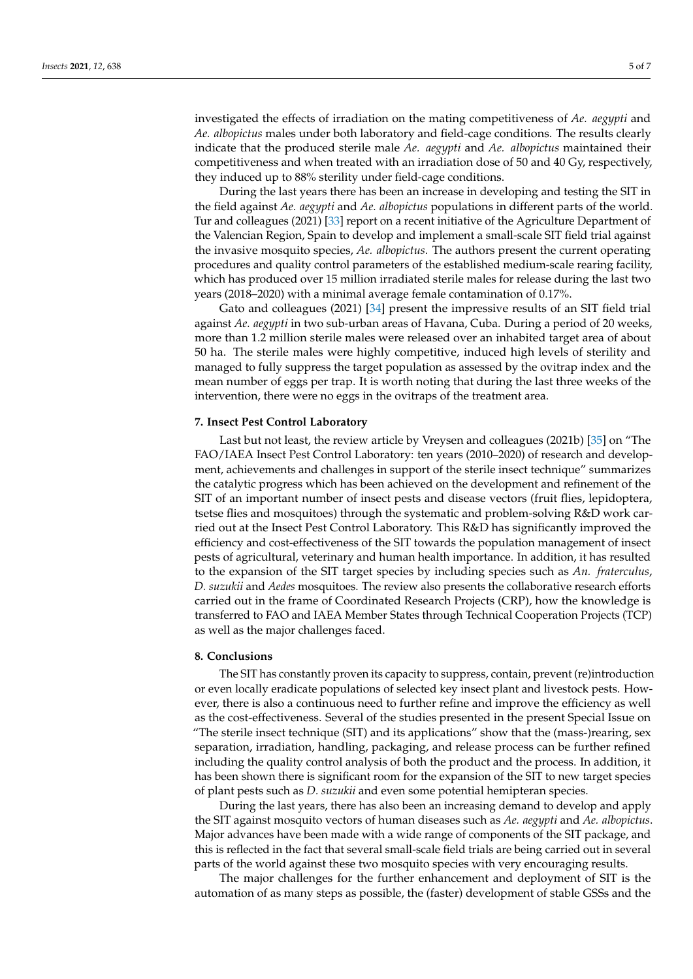investigated the effects of irradiation on the mating competitiveness of *Ae. aegypti* and *Ae. albopictus* males under both laboratory and field-cage conditions. The results clearly indicate that the produced sterile male *Ae. aegypti* and *Ae. albopictus* maintained their competitiveness and when treated with an irradiation dose of 50 and 40 Gy, respectively, they induced up to 88% sterility under field-cage conditions.

During the last years there has been an increase in developing and testing the SIT in the field against *Ae. aegypti* and *Ae. albopictus* populations in different parts of the world. Tur and colleagues (2021) [\[33\]](#page-6-16) report on a recent initiative of the Agriculture Department of the Valencian Region, Spain to develop and implement a small-scale SIT field trial against the invasive mosquito species, *Ae. albopictus*. The authors present the current operating procedures and quality control parameters of the established medium-scale rearing facility, which has produced over 15 million irradiated sterile males for release during the last two years (2018–2020) with a minimal average female contamination of 0.17%.

Gato and colleagues (2021) [\[34\]](#page-6-17) present the impressive results of an SIT field trial against *Ae. aegypti* in two sub-urban areas of Havana, Cuba. During a period of 20 weeks, more than 1.2 million sterile males were released over an inhabited target area of about 50 ha. The sterile males were highly competitive, induced high levels of sterility and managed to fully suppress the target population as assessed by the ovitrap index and the mean number of eggs per trap. It is worth noting that during the last three weeks of the intervention, there were no eggs in the ovitraps of the treatment area.

#### **7. Insect Pest Control Laboratory**

Last but not least, the review article by Vreysen and colleagues (2021b) [\[35\]](#page-6-18) on "The FAO/IAEA Insect Pest Control Laboratory: ten years (2010–2020) of research and development, achievements and challenges in support of the sterile insect technique" summarizes the catalytic progress which has been achieved on the development and refinement of the SIT of an important number of insect pests and disease vectors (fruit flies, lepidoptera, tsetse flies and mosquitoes) through the systematic and problem-solving R&D work carried out at the Insect Pest Control Laboratory. This R&D has significantly improved the efficiency and cost-effectiveness of the SIT towards the population management of insect pests of agricultural, veterinary and human health importance. In addition, it has resulted to the expansion of the SIT target species by including species such as *An. fraterculus*, *D. suzukii* and *Aedes* mosquitoes. The review also presents the collaborative research efforts carried out in the frame of Coordinated Research Projects (CRP), how the knowledge is transferred to FAO and IAEA Member States through Technical Cooperation Projects (TCP) as well as the major challenges faced.

## **8. Conclusions**

The SIT has constantly proven its capacity to suppress, contain, prevent (re)introduction or even locally eradicate populations of selected key insect plant and livestock pests. However, there is also a continuous need to further refine and improve the efficiency as well as the cost-effectiveness. Several of the studies presented in the present Special Issue on "The sterile insect technique (SIT) and its applications" show that the (mass-)rearing, sex separation, irradiation, handling, packaging, and release process can be further refined including the quality control analysis of both the product and the process. In addition, it has been shown there is significant room for the expansion of the SIT to new target species of plant pests such as *D. suzukii* and even some potential hemipteran species.

During the last years, there has also been an increasing demand to develop and apply the SIT against mosquito vectors of human diseases such as *Ae. aegypti* and *Ae. albopictus*. Major advances have been made with a wide range of components of the SIT package, and this is reflected in the fact that several small-scale field trials are being carried out in several parts of the world against these two mosquito species with very encouraging results.

The major challenges for the further enhancement and deployment of SIT is the automation of as many steps as possible, the (faster) development of stable GSSs and the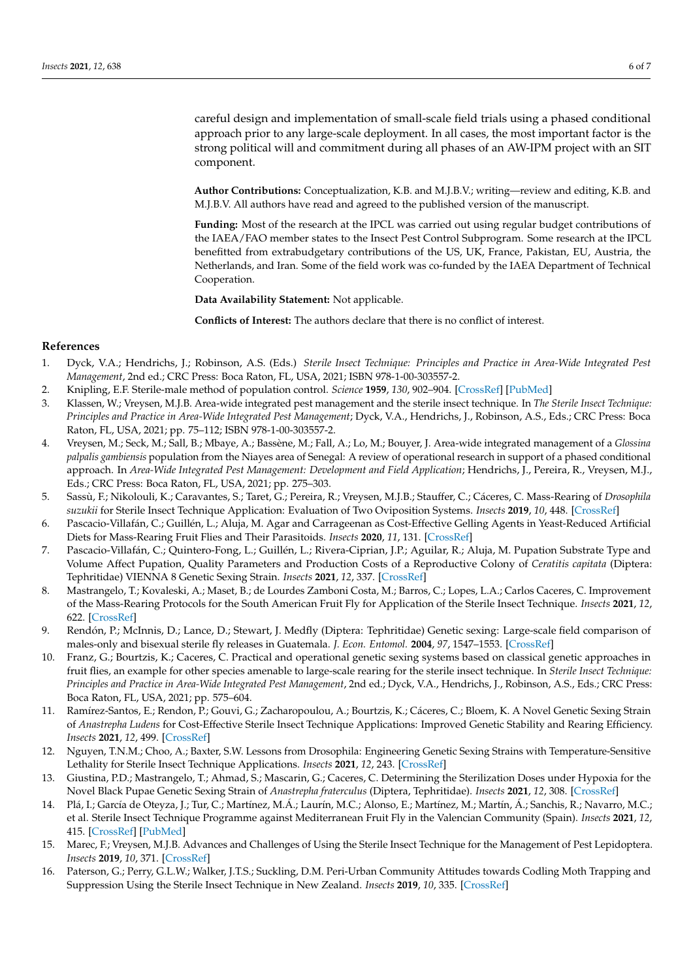careful design and implementation of small-scale field trials using a phased conditional approach prior to any large-scale deployment. In all cases, the most important factor is the strong political will and commitment during all phases of an AW-IPM project with an SIT component.

**Author Contributions:** Conceptualization, K.B. and M.J.B.V.; writing—review and editing, K.B. and M.J.B.V. All authors have read and agreed to the published version of the manuscript.

**Funding:** Most of the research at the IPCL was carried out using regular budget contributions of the IAEA/FAO member states to the Insect Pest Control Subprogram. Some research at the IPCL benefitted from extrabudgetary contributions of the US, UK, France, Pakistan, EU, Austria, the Netherlands, and Iran. Some of the field work was co-funded by the IAEA Department of Technical Cooperation.

**Data Availability Statement:** Not applicable.

**Conflicts of Interest:** The authors declare that there is no conflict of interest.

## **References**

- <span id="page-5-0"></span>1. Dyck, V.A.; Hendrichs, J.; Robinson, A.S. (Eds.) *Sterile Insect Technique: Principles and Practice in Area-Wide Integrated Pest Management*, 2nd ed.; CRC Press: Boca Raton, FL, USA, 2021; ISBN 978-1-00-303557-2.
- <span id="page-5-1"></span>2. Knipling, E.F. Sterile-male method of population control. *Science* **1959**, *130*, 902–904. [\[CrossRef\]](http://doi.org/10.1126/science.130.3380.902) [\[PubMed\]](http://www.ncbi.nlm.nih.gov/pubmed/14410136)
- <span id="page-5-2"></span>3. Klassen, W.; Vreysen, M.J.B. Area-wide integrated pest management and the sterile insect technique. In *The Sterile Insect Technique: Principles and Practice in Area-Wide Integrated Pest Management*; Dyck, V.A., Hendrichs, J., Robinson, A.S., Eds.; CRC Press: Boca Raton, FL, USA, 2021; pp. 75–112; ISBN 978-1-00-303557-2.
- <span id="page-5-3"></span>4. Vreysen, M.; Seck, M.; Sall, B.; Mbaye, A.; Bassène, M.; Fall, A.; Lo, M.; Bouyer, J. Area-wide integrated management of a *Glossina palpalis gambiensis* population from the Niayes area of Senegal: A review of operational research in support of a phased conditional approach. In *Area-Wide Integrated Pest Management: Development and Field Application*; Hendrichs, J., Pereira, R., Vreysen, M.J., Eds.; CRC Press: Boca Raton, FL, USA, 2021; pp. 275–303.
- <span id="page-5-4"></span>5. Sassù, F.; Nikolouli, K.; Caravantes, S.; Taret, G.; Pereira, R.; Vreysen, M.J.B.; Stauffer, C.; Cáceres, C. Mass-Rearing of *Drosophila suzukii* for Sterile Insect Technique Application: Evaluation of Two Oviposition Systems. *Insects* **2019**, *10*, 448. [\[CrossRef\]](http://doi.org/10.3390/insects10120448)
- <span id="page-5-5"></span>6. Pascacio-Villafán, C.; Guillén, L.; Aluja, M. Agar and Carrageenan as Cost-Effective Gelling Agents in Yeast-Reduced Artificial Diets for Mass-Rearing Fruit Flies and Their Parasitoids. *Insects* **2020**, *11*, 131. [\[CrossRef\]](http://doi.org/10.3390/insects11020131)
- <span id="page-5-6"></span>7. Pascacio-Villafán, C.; Quintero-Fong, L.; Guillén, L.; Rivera-Ciprian, J.P.; Aguilar, R.; Aluja, M. Pupation Substrate Type and Volume Affect Pupation, Quality Parameters and Production Costs of a Reproductive Colony of *Ceratitis capitata* (Diptera: Tephritidae) VIENNA 8 Genetic Sexing Strain. *Insects* **2021**, *12*, 337. [\[CrossRef\]](http://doi.org/10.3390/insects12040337)
- <span id="page-5-7"></span>8. Mastrangelo, T.; Kovaleski, A.; Maset, B.; de Lourdes Zamboni Costa, M.; Barros, C.; Lopes, L.A.; Carlos Caceres, C. Improvement of the Mass-Rearing Protocols for the South American Fruit Fly for Application of the Sterile Insect Technique. *Insects* **2021**, *12*, 622. [\[CrossRef\]](http://doi.org/10.3390/insects12070622)
- <span id="page-5-8"></span>9. Rendón, P.; McInnis, D.; Lance, D.; Stewart, J. Medfly (Diptera: Tephritidae) Genetic sexing: Large-scale field comparison of males-only and bisexual sterile fly releases in Guatemala. *J. Econ. Entomol.* **2004**, *97*, 1547–1553. [\[CrossRef\]](http://doi.org/10.1603/0022-0493-97.5.1547)
- <span id="page-5-9"></span>10. Franz, G.; Bourtzis, K.; Caceres, C. Practical and operational genetic sexing systems based on classical genetic approaches in fruit flies, an example for other species amenable to large-scale rearing for the sterile insect technique. In *Sterile Insect Technique: Principles and Practice in Area-Wide Integrated Pest Management*, 2nd ed.; Dyck, V.A., Hendrichs, J., Robinson, A.S., Eds.; CRC Press: Boca Raton, FL, USA, 2021; pp. 575–604.
- <span id="page-5-10"></span>11. Ramírez-Santos, E.; Rendon, P.; Gouvi, G.; Zacharopoulou, A.; Bourtzis, K.; Cáceres, C.; Bloem, K. A Novel Genetic Sexing Strain of *Anastrepha Ludens* for Cost-Effective Sterile Insect Technique Applications: Improved Genetic Stability and Rearing Efficiency. *Insects* **2021**, *12*, 499. [\[CrossRef\]](http://doi.org/10.3390/insects12060499)
- <span id="page-5-11"></span>12. Nguyen, T.N.M.; Choo, A.; Baxter, S.W. Lessons from Drosophila: Engineering Genetic Sexing Strains with Temperature-Sensitive Lethality for Sterile Insect Technique Applications. *Insects* **2021**, *12*, 243. [\[CrossRef\]](http://doi.org/10.3390/insects12030243)
- <span id="page-5-12"></span>13. Giustina, P.D.; Mastrangelo, T.; Ahmad, S.; Mascarin, G.; Caceres, C. Determining the Sterilization Doses under Hypoxia for the Novel Black Pupae Genetic Sexing Strain of *Anastrepha fraterculus* (Diptera, Tephritidae). *Insects* **2021**, *12*, 308. [\[CrossRef\]](http://doi.org/10.3390/insects12040308)
- <span id="page-5-13"></span>14. Plá, I.; García de Oteyza, J.; Tur, C.; Martínez, M.Á.; Laurín, M.C.; Alonso, E.; Martínez, M.; Martín, Á.; Sanchis, R.; Navarro, M.C.; et al. Sterile Insect Technique Programme against Mediterranean Fruit Fly in the Valencian Community (Spain). *Insects* **2021**, *12*, 415. [\[CrossRef\]](http://doi.org/10.3390/insects12050415) [\[PubMed\]](http://www.ncbi.nlm.nih.gov/pubmed/34066344)
- <span id="page-5-14"></span>15. Marec, F.; Vreysen, M.J.B. Advances and Challenges of Using the Sterile Insect Technique for the Management of Pest Lepidoptera. *Insects* **2019**, *10*, 371. [\[CrossRef\]](http://doi.org/10.3390/insects10110371)
- <span id="page-5-15"></span>16. Paterson, G.; Perry, G.L.W.; Walker, J.T.S.; Suckling, D.M. Peri-Urban Community Attitudes towards Codling Moth Trapping and Suppression Using the Sterile Insect Technique in New Zealand. *Insects* **2019**, *10*, 335. [\[CrossRef\]](http://doi.org/10.3390/insects10100335)